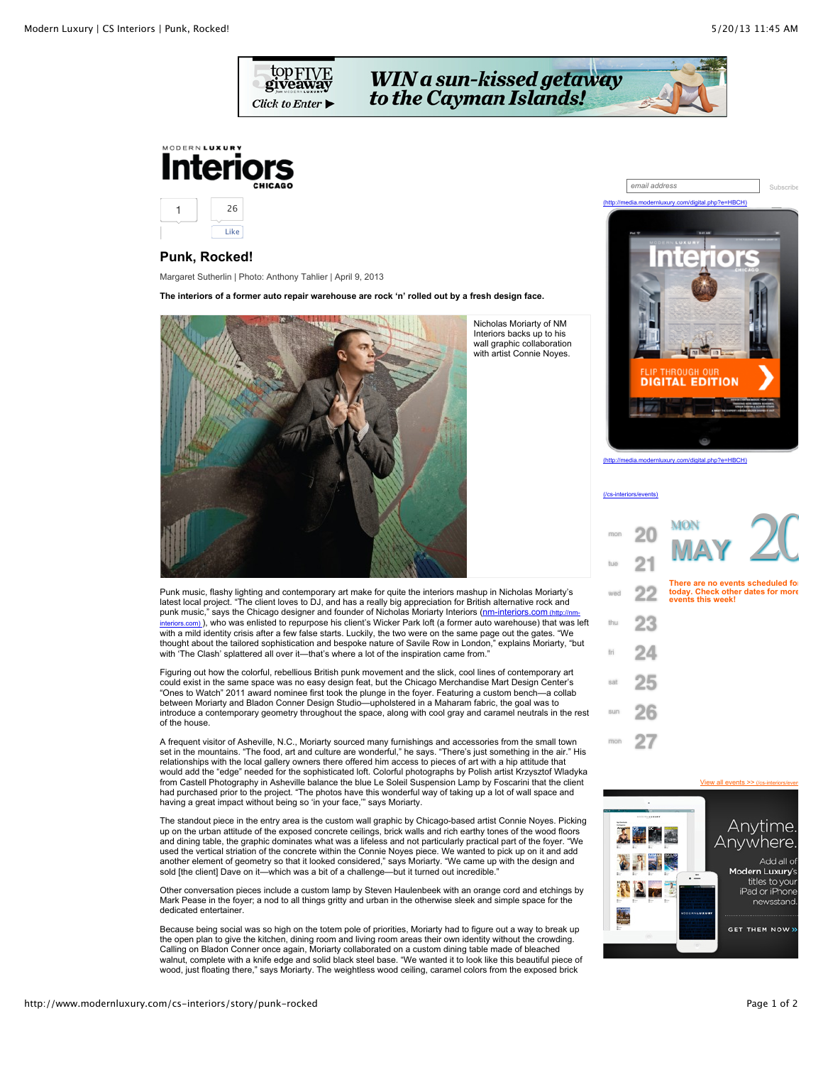